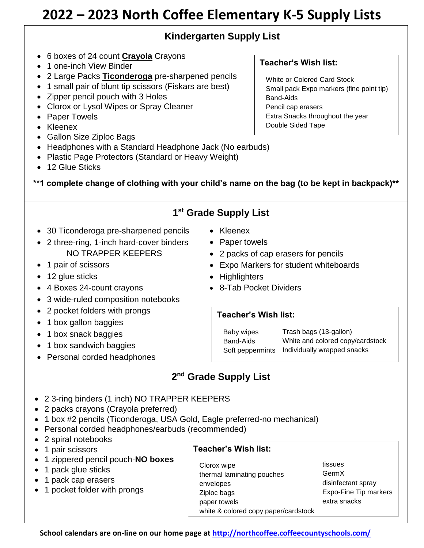# **2022 – 2023 North Coffee Elementary K-5 Supply Lists**

# **Kindergarten Supply List**

- 6 boxes of 24 count **Crayola** Crayons
- 1 one-inch View Binder
- 2 Large Packs **Ticonderoga** pre-sharpened pencils
- 1 small pair of blunt tip scissors (Fiskars are best)
- Zipper pencil pouch with 3 Holes
- Clorox or Lysol Wipes or Spray Cleaner
- Paper Towels
- Kleenex
- Gallon Size Ziploc Bags
- Headphones with a Standard Headphone Jack (No earbuds)
- Plastic Page Protectors (Standard or Heavy Weight)
- 12 Glue Sticks

**\*\*1 complete change of clothing with your child's name on the bag (to be kept in backpack)\*\***

## **1 st Grade Supply List**

- 30 Ticonderoga pre-sharpened pencils
- 2 three-ring, 1-inch hard-cover binders NO TRAPPER KEEPERS
- 1 pair of scissors
- 12 glue sticks
- 4 Boxes 24-count crayons
- 3 wide-ruled composition notebooks
- 2 pocket folders with prongs
- 1 box gallon baggies
- 1 box snack baggies
- 1 box sandwich baggies
- Personal corded headphones
- Kleenex
- Paper towels
- 2 packs of cap erasers for pencils
- Expo Markers for student whiteboards
- Highlighters
- 8-Tab Pocket Dividers

#### **Teacher's Wish list:**

Baby wipes Band-Aids

Soft peppermints Individually wrapped snacksTrash bags (13-gallon) White and colored copy/cardstock

# **2 nd Grade Supply List**

- 2 3-ring binders (1 inch) NO TRAPPER KEEPERS
- 2 packs crayons (Crayola preferred)
- 1 box #2 pencils (Ticonderoga, USA Gold, Eagle preferred-no mechanical)
- Personal corded headphones/earbuds (recommended)
- 2 spiral notebooks
- 1 pair scissors
- 1 zippered pencil pouch-**NO boxes**
- 1 pack glue sticks
- 1 pack cap erasers
- 1 pocket folder with prongs

#### **Teacher's Wish list:**

Clorox wipe thermal laminating pouches envelopes Ziploc bags paper towels white & colored copy paper/cardstock

tissues GermX disinfectant spray Expo-Fine Tip markers extra snacks

**School calendars are on-line on our home page at<http://northcoffee.coffeecountyschools.com/>**

## **Teacher's Wish list:**

White or Colored Card Stock Small pack Expo markers (fine point tip) Band-Aids Pencil cap erasers Extra Snacks throughout the year Double Sided Tape